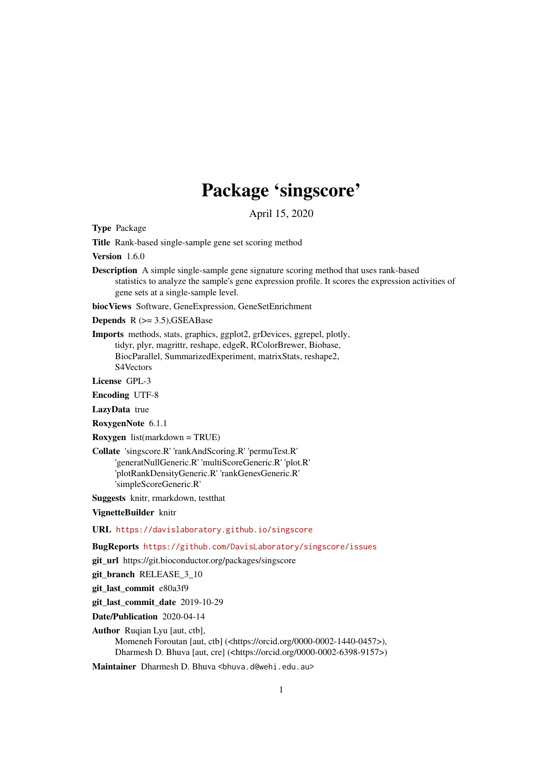# Package 'singscore'

April 15, 2020

<span id="page-0-0"></span>Type Package

Title Rank-based single-sample gene set scoring method

Version 1.6.0

Description A simple single-sample gene signature scoring method that uses rank-based statistics to analyze the sample's gene expression profile. It scores the expression activities of gene sets at a single-sample level.

biocViews Software, GeneExpression, GeneSetEnrichment

**Depends**  $R$  ( $>= 3.5$ ), GSEABase

Imports methods, stats, graphics, ggplot2, grDevices, ggrepel, plotly, tidyr, plyr, magrittr, reshape, edgeR, RColorBrewer, Biobase, BiocParallel, SummarizedExperiment, matrixStats, reshape2, S4Vectors

License GPL-3

Encoding UTF-8

LazyData true

RoxygenNote 6.1.1

Roxygen list(markdown = TRUE)

Collate 'singscore.R' 'rankAndScoring.R' 'permuTest.R' 'generatNullGeneric.R' 'multiScoreGeneric.R' 'plot.R' 'plotRankDensityGeneric.R' 'rankGenesGeneric.R' 'simpleScoreGeneric.R'

Suggests knitr, rmarkdown, testthat

VignetteBuilder knitr

URL <https://davislaboratory.github.io/singscore>

BugReports <https://github.com/DavisLaboratory/singscore/issues>

git\_url https://git.bioconductor.org/packages/singscore

git\_branch RELEASE\_3\_10

git last commit e80a3f9

git last commit date 2019-10-29

Date/Publication 2020-04-14

Author Rugian Lyu [aut, ctb], Momeneh Foroutan [aut, ctb] (<https://orcid.org/0000-0002-1440-0457>), Dharmesh D. Bhuva [aut, cre] (<https://orcid.org/0000-0002-6398-9157>)

Maintainer Dharmesh D. Bhuva <br/>bhuva.d@wehi.edu.au>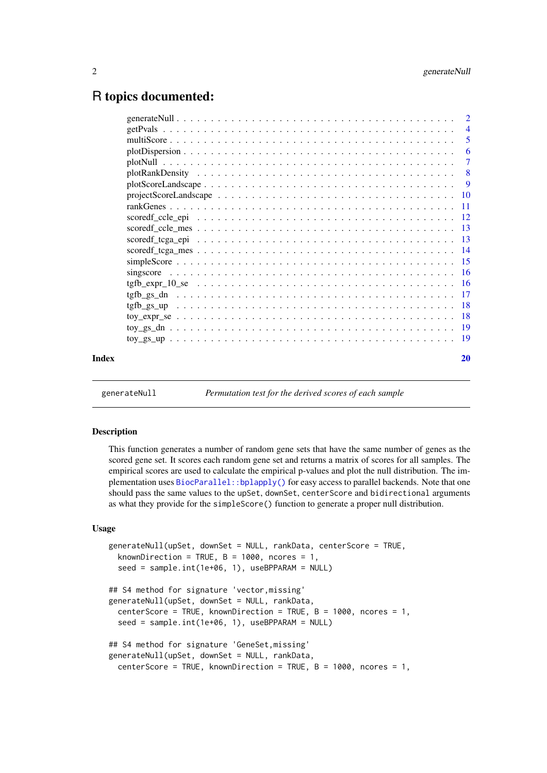# <span id="page-1-0"></span>R topics documented:

| Index |                                                                                                                                    | 20             |
|-------|------------------------------------------------------------------------------------------------------------------------------------|----------------|
|       |                                                                                                                                    |                |
|       |                                                                                                                                    |                |
|       | $\text{toy\_expr\_se} \dots \dots \dots \dots \dots \dots \dots \dots \dots \dots \dots \dots \dots \dots \dots \dots \dots \dots$ |                |
|       |                                                                                                                                    |                |
|       |                                                                                                                                    |                |
|       |                                                                                                                                    |                |
|       |                                                                                                                                    |                |
|       |                                                                                                                                    |                |
|       |                                                                                                                                    |                |
|       |                                                                                                                                    |                |
|       |                                                                                                                                    |                |
|       |                                                                                                                                    |                |
|       |                                                                                                                                    |                |
|       |                                                                                                                                    |                |
|       |                                                                                                                                    | 9              |
|       |                                                                                                                                    | 8              |
|       |                                                                                                                                    | -7             |
|       |                                                                                                                                    | 6              |
|       |                                                                                                                                    | 5              |
|       |                                                                                                                                    | $\overline{4}$ |
|       |                                                                                                                                    |                |

<span id="page-1-1"></span>generateNull *Permutation test for the derived scores of each sample*

#### Description

This function generates a number of random gene sets that have the same number of genes as the scored gene set. It scores each random gene set and returns a matrix of scores for all samples. The empirical scores are used to calculate the empirical p-values and plot the null distribution. The implementation uses [BiocParallel::bplapply\(\)](#page-0-0) for easy access to parallel backends. Note that one should pass the same values to the upSet, downSet, centerScore and bidirectional arguments as what they provide for the simpleScore() function to generate a proper null distribution.

# Usage

```
generateNull(upSet, downSet = NULL, rankData, centerScore = TRUE,
 knownDirection = TRUE, B = 1000, ncores = 1,
  seed = sample.int(1e+06, 1), useBPPARAM = NULL)## S4 method for signature 'vector,missing'
generateNull(upSet, downSet = NULL, rankData,
  centerScore = TRUE, knownDirection = TRUE, B = 1000, ncores = 1,
  seed = sample.int(1e+06, 1), useBPPARAM = NULL)
## S4 method for signature 'GeneSet,missing'
generateNull(upSet, downSet = NULL, rankData,
  centerScore = TRUE, knownDirection = TRUE, B = 1000, ncores = 1,
```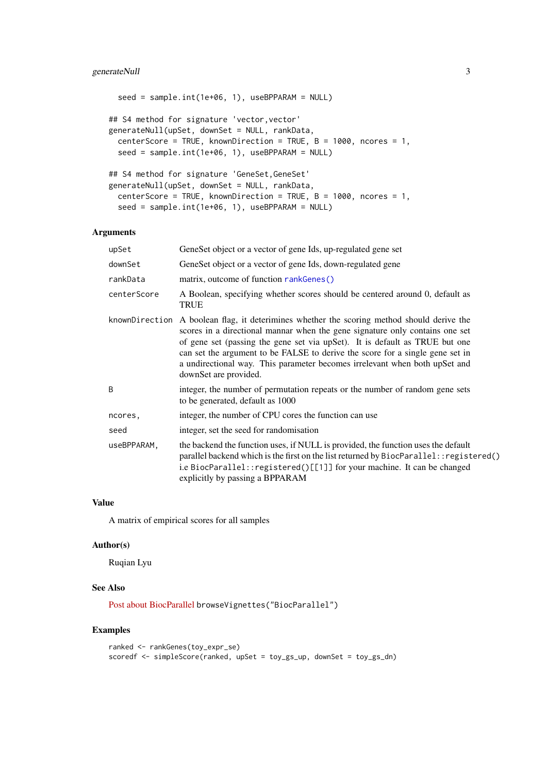#### <span id="page-2-0"></span>generateNull 3

```
seed = sample.int(1e+06, 1), useBPPARAM = NULL)
## S4 method for signature 'vector, vector'
generateNull(upSet, downSet = NULL, rankData,
 centerScore = TRUE, knownDirection = TRUE, B = 1000, ncores = 1,
 seed = sample.int(1e+06, 1), useBPPARAM = NULL)
## S4 method for signature 'GeneSet,GeneSet'
generateNull(upSet, downSet = NULL, rankData,
 centerScore = TRUE, knownDirection = TRUE, B = 1000, ncores = 1,
 seed = sample.int(1e+06, 1), useBPPARAM = NULL)
```
# Arguments

| GeneSet object or a vector of gene Ids, up-regulated gene set                                                                                                                                                                                                                                                                                                                                                                                        |
|------------------------------------------------------------------------------------------------------------------------------------------------------------------------------------------------------------------------------------------------------------------------------------------------------------------------------------------------------------------------------------------------------------------------------------------------------|
| GeneSet object or a vector of gene Ids, down-regulated gene                                                                                                                                                                                                                                                                                                                                                                                          |
| matrix, outcome of function rankGenes()                                                                                                                                                                                                                                                                                                                                                                                                              |
| A Boolean, specifying whether scores should be centered around 0, default as<br><b>TRUE</b>                                                                                                                                                                                                                                                                                                                                                          |
| knownDirection<br>A boolean flag, it deterimines whether the scoring method should derive the<br>scores in a directional mannar when the gene signature only contains one set<br>of gene set (passing the gene set via upSet). It is default as TRUE but one<br>can set the argument to be FALSE to derive the score for a single gene set in<br>a undirectional way. This parameter becomes irrelevant when both upSet and<br>downSet are provided. |
| integer, the number of permutation repeats or the number of random gene sets<br>to be generated, default as 1000                                                                                                                                                                                                                                                                                                                                     |
| integer, the number of CPU cores the function can use                                                                                                                                                                                                                                                                                                                                                                                                |
| integer, set the seed for randomisation                                                                                                                                                                                                                                                                                                                                                                                                              |
| the backend the function uses, if NULL is provided, the function uses the default<br>parallel backend which is the first on the list returned by BiocParallel:: registered()<br>i.e BiocParallel:: registered()[[1]] for your machine. It can be changed<br>explicitly by passing a BPPARAM                                                                                                                                                          |
|                                                                                                                                                                                                                                                                                                                                                                                                                                                      |

# Value

A matrix of empirical scores for all samples

#### Author(s)

Ruqian Lyu

# See Also

[Post about BiocParallel](http://lcolladotor.github.io/2016/03/07/BiocParallel/#.WgXMF61L28U) browseVignettes("BiocParallel")

# Examples

```
ranked <- rankGenes(toy_expr_se)
scoredf <- simpleScore(ranked, upSet = toy_gs_up, downSet = toy_gs_dn)
```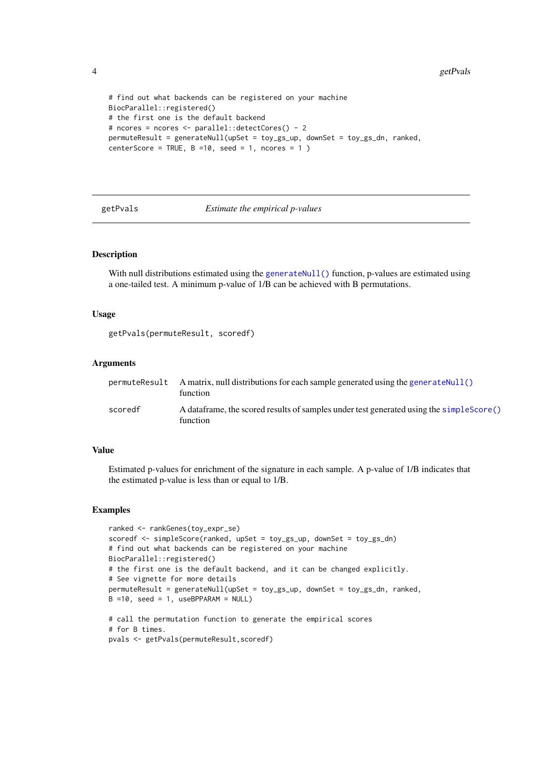```
# find out what backends can be registered on your machine
BiocParallel::registered()
# the first one is the default backend
# ncores = ncores <- parallel::detectCores() - 2
permuteResult = generateNull(upSet = toy_gs_up, downSet = toy_gs_dn, ranked,
centerScore = TRUE, B = 10, seed = 1, ncores = 1)
```
<span id="page-3-1"></span>getPvals *Estimate the empirical p-values*

#### Description

With null distributions estimated using the [generateNull\(\)](#page-1-1) function, p-values are estimated using a one-tailed test. A minimum p-value of 1/B can be achieved with B permutations.

#### Usage

getPvals(permuteResult, scoredf)

#### Arguments

|         | permuteResult A matrix, null distributions for each sample generated using the generateNull()<br>function |
|---------|-----------------------------------------------------------------------------------------------------------|
| scoredf | A data frame, the scored results of samples under test generated using the simple Score ()<br>function    |

#### Value

Estimated p-values for enrichment of the signature in each sample. A p-value of 1/B indicates that the estimated p-value is less than or equal to 1/B.

#### Examples

```
ranked <- rankGenes(toy_expr_se)
scoredf <- simpleScore(ranked, upSet = toy_gs_up, downSet = toy_gs_dn)
# find out what backends can be registered on your machine
BiocParallel::registered()
# the first one is the default backend, and it can be changed explicitly.
# See vignette for more details
permuteResult = generateNull(upSet = toy_gs_up, downSet = toy_gs_dn, ranked,
B =10, seed = 1, useBPPARAM = NULL)
# call the permutation function to generate the empirical scores
# for B times.
pvals <- getPvals(permuteResult,scoredf)
```
<span id="page-3-0"></span>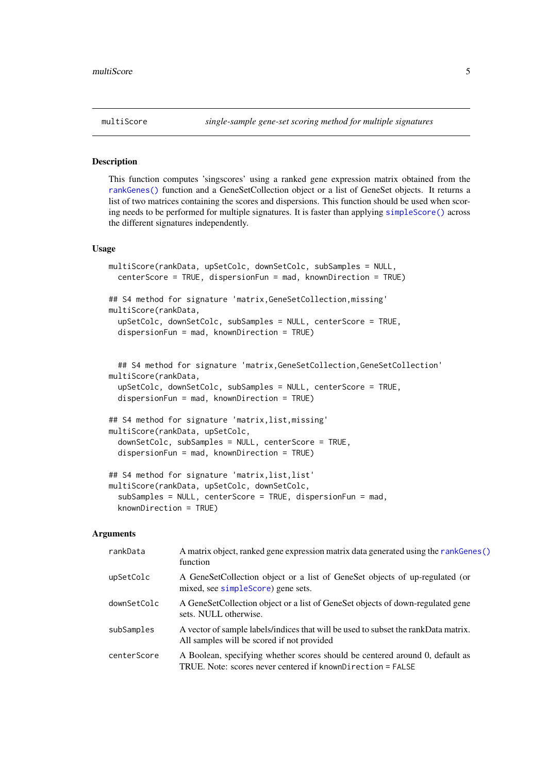<span id="page-4-0"></span>

#### Description

This function computes 'singscores' using a ranked gene expression matrix obtained from the [rankGenes\(\)](#page-10-1) function and a GeneSetCollection object or a list of GeneSet objects. It returns a list of two matrices containing the scores and dispersions. This function should be used when scoring needs to be performed for multiple signatures. It is faster than applying [simpleScore\(\)](#page-14-1) across the different signatures independently.

#### Usage

```
multiScore(rankData, upSetColc, downSetColc, subSamples = NULL,
  centerScore = TRUE, dispersionFun = mad, knownDirection = TRUE)
## S4 method for signature 'matrix, GeneSetCollection, missing'
multiScore(rankData,
 upSetColc, downSetColc, subSamples = NULL, centerScore = TRUE,
  dispersionFun = mad, knownDirection = TRUE)
```

```
## S4 method for signature 'matrix, GeneSetCollection, GeneSetCollection'
multiScore(rankData,
  upSetColc, downSetColc, subSamples = NULL, centerScore = TRUE,
```
dispersionFun = mad, knownDirection = TRUE)

```
## S4 method for signature 'matrix,list,missing'
multiScore(rankData, upSetColc,
  downSetColc, subSamples = NULL, centerScore = TRUE,
  dispersionFun = mad, knownDirection = TRUE)
```

```
## S4 method for signature 'matrix, list, list'
multiScore(rankData, upSetColc, downSetColc,
  subSamples = NULL, centerScore = TRUE, dispersionFun = mad,
  knownDirection = TRUE)
```

| rankData    | A matrix object, ranked gene expression matrix data generated using the rankGenes()<br>function                                             |
|-------------|---------------------------------------------------------------------------------------------------------------------------------------------|
| upSetColc   | A GeneSetCollection object or a list of GeneSet objects of up-regulated (or<br>mixed, see simpleScore) gene sets.                           |
| downSetColc | A GeneSetCollection object or a list of GeneSet objects of down-regulated gene<br>sets. NULL otherwise.                                     |
| subSamples  | A vector of sample labels/indices that will be used to subset the rankData matrix.<br>All samples will be scored if not provided            |
| centerScore | A Boolean, specifying whether scores should be centered around 0, default as<br>TRUE. Note: scores never centered if knownDirection = FALSE |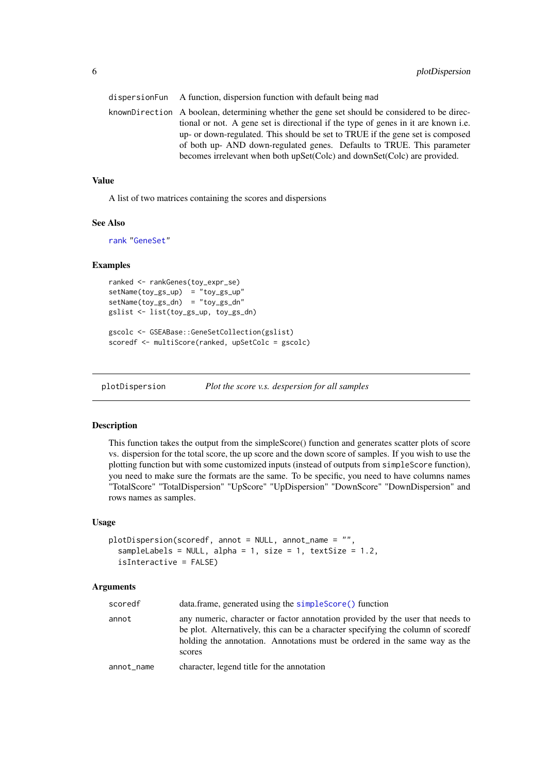<span id="page-5-0"></span>

| dispersion Fun A function, dispersion function with default being mad                                                                                                                                                                                                                                                                                                                                                     |
|---------------------------------------------------------------------------------------------------------------------------------------------------------------------------------------------------------------------------------------------------------------------------------------------------------------------------------------------------------------------------------------------------------------------------|
| knownDirection A boolean, determining whether the gene set should be considered to be direc-<br>tional or not. A gene set is directional if the type of genes in it are known i.e.<br>up- or down-regulated. This should be set to TRUE if the gene set is composed<br>of both up- AND down-regulated genes. Defaults to TRUE. This parameter<br>becomes irrelevant when both upSet(Colc) and downSet(Colc) are provided. |
|                                                                                                                                                                                                                                                                                                                                                                                                                           |

# Value

A list of two matrices containing the scores and dispersions

#### See Also

[rank](#page-0-0) ["GeneSet"](#page-0-0)

# Examples

```
ranked <- rankGenes(toy_expr_se)
setName(toy_gs_up) = "toy_gs_up"
setName(toy_gs_dn) = "toy_gs_dn"
gslist <- list(toy_gs_up, toy_gs_dn)
```

```
gscolc <- GSEABase::GeneSetCollection(gslist)
scoredf <- multiScore(ranked, upSetColc = gscolc)
```
plotDispersion *Plot the score v.s. despersion for all samples*

# Description

This function takes the output from the simpleScore() function and generates scatter plots of score vs. dispersion for the total score, the up score and the down score of samples. If you wish to use the plotting function but with some customized inputs (instead of outputs from simpleScore function), you need to make sure the formats are the same. To be specific, you need to have columns names "TotalScore" "TotalDispersion" "UpScore" "UpDispersion" "DownScore" "DownDispersion" and rows names as samples.

#### Usage

```
plotDispersion(scoredf, annot = NULL, annot_name = "",
  sampleLabels = NULL, alpha = 1, size = 1, textSize = 1.2,
  isInteractive = FALSE)
```

| scoredf    | data.frame, generated using the simpleScore() function                                                                                                                                                                                                    |
|------------|-----------------------------------------------------------------------------------------------------------------------------------------------------------------------------------------------------------------------------------------------------------|
| annot      | any numeric, character or factor annotation provided by the user that needs to<br>be plot. Alternatively, this can be a character specifying the column of scored<br>holding the annotation. Annotations must be ordered in the same way as the<br>scores |
| annot_name | character, legend title for the annotation                                                                                                                                                                                                                |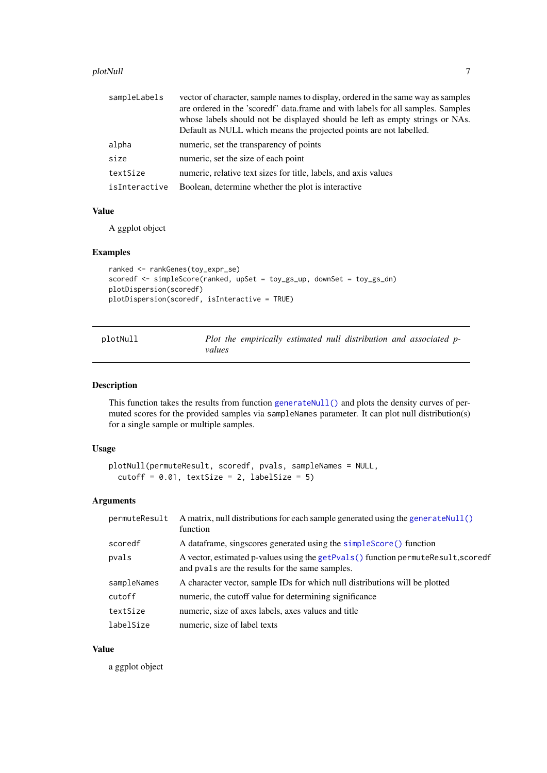#### <span id="page-6-0"></span>plotNull and the contract of the contract of the contract of the contract of the contract of the contract of the contract of the contract of the contract of the contract of the contract of the contract of the contract of t

| sampleLabels  | vector of character, sample names to display, ordered in the same way as samples<br>are ordered in the 'scoredf' data.frame and with labels for all samples. Samples<br>whose labels should not be displayed should be left as empty strings or NAs.<br>Default as NULL which means the projected points are not labelled. |
|---------------|----------------------------------------------------------------------------------------------------------------------------------------------------------------------------------------------------------------------------------------------------------------------------------------------------------------------------|
| alpha         | numeric, set the transparency of points                                                                                                                                                                                                                                                                                    |
| size          | numeric, set the size of each point                                                                                                                                                                                                                                                                                        |
| textSize      | numeric, relative text sizes for title, labels, and axis values                                                                                                                                                                                                                                                            |
| isInteractive | Boolean, determine whether the plot is interactive                                                                                                                                                                                                                                                                         |

# Value

A ggplot object

# Examples

```
ranked <- rankGenes(toy_expr_se)
scoredf <- simpleScore(ranked, upSet = toy_gs_up, downSet = toy_gs_dn)
plotDispersion(scoredf)
plotDispersion(scoredf, isInteractive = TRUE)
```

| plotNull |        |  | Plot the empirically estimated null distribution and associated p- |  |  |
|----------|--------|--|--------------------------------------------------------------------|--|--|
|          | values |  |                                                                    |  |  |

# Description

This function takes the results from function [generateNull\(\)](#page-1-1) and plots the density curves of permuted scores for the provided samples via sampleNames parameter. It can plot null distribution(s) for a single sample or multiple samples.

# Usage

```
plotNull(permuteResult, scoredf, pvals, sampleNames = NULL,
 cutoff = 0.01, textSize = 2, labelSize = 5)
```
# Arguments

| permuteResult | A matrix, null distributions for each sample generated using the generate Null()<br>function                                         |
|---------------|--------------------------------------------------------------------------------------------------------------------------------------|
| scoredf       | A data frame, singscores generated using the simple Score () function                                                                |
| pvals         | A vector, estimated p-values using the getPvals() function permuteResult, scoredf<br>and pvals are the results for the same samples. |
| sampleNames   | A character vector, sample IDs for which null distributions will be plotted                                                          |
| cutoff        | numeric, the cutoff value for determining significance                                                                               |
| textSize      | numeric, size of axes labels, axes values and title                                                                                  |
| labelSize     | numeric, size of label texts                                                                                                         |

# Value

a ggplot object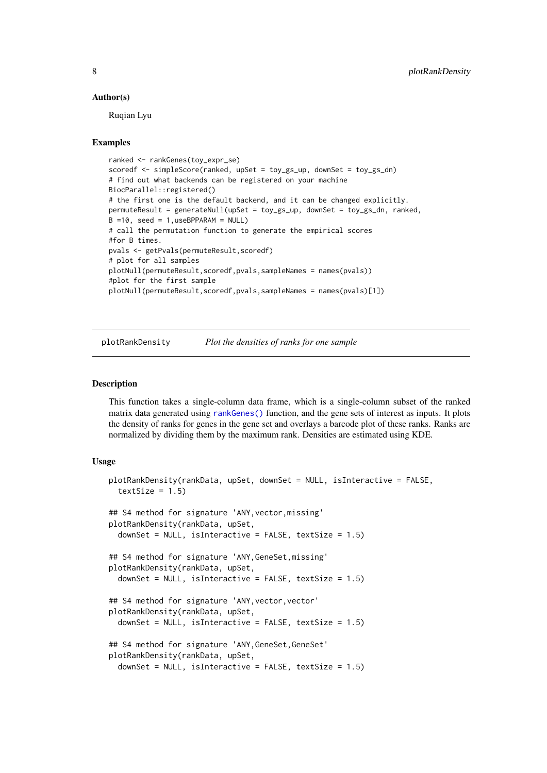#### Author(s)

Ruqian Lyu

### Examples

```
ranked <- rankGenes(toy_expr_se)
scoredf <- simpleScore(ranked, upSet = toy_gs_up, downSet = toy_gs_dn)
# find out what backends can be registered on your machine
BiocParallel::registered()
# the first one is the default backend, and it can be changed explicitly.
permuteResult = generateNull(upSet = toy_gs_up, downSet = toy_gs_dn, ranked,
B =10, seed = 1, useBPPARAM = NULL)
# call the permutation function to generate the empirical scores
#for B times.
pvals <- getPvals(permuteResult,scoredf)
# plot for all samples
plotNull(permuteResult,scoredf,pvals,sampleNames = names(pvals))
#plot for the first sample
plotNull(permuteResult,scoredf,pvals,sampleNames = names(pvals)[1])
```
plotRankDensity *Plot the densities of ranks for one sample*

#### Description

This function takes a single-column data frame, which is a single-column subset of the ranked matrix data generated using [rankGenes\(\)](#page-10-1) function, and the gene sets of interest as inputs. It plots the density of ranks for genes in the gene set and overlays a barcode plot of these ranks. Ranks are normalized by dividing them by the maximum rank. Densities are estimated using KDE.

#### Usage

```
plotRankDensity(rankData, upSet, downSet = NULL, isInteractive = FALSE,
  textSize = 1.5)## S4 method for signature 'ANY,vector,missing'
plotRankDensity(rankData, upSet,
  downSet = NULL, isInteractive = FALSE, textSize = 1.5)
## S4 method for signature 'ANY,GeneSet,missing'
plotRankDensity(rankData, upSet,
  downSet = NULL, isInteractive = FALSE, textSize = 1.5)
## S4 method for signature 'ANY, vector, vector'
plotRankDensity(rankData, upSet,
  downSet = NULL, isInteractive = FALSE, textSize = 1.5)
## S4 method for signature 'ANY,GeneSet,GeneSet'
plotRankDensity(rankData, upSet,
  downSet = NULL, isInteractive = FALSE, textSize = 1.5)
```
<span id="page-7-0"></span>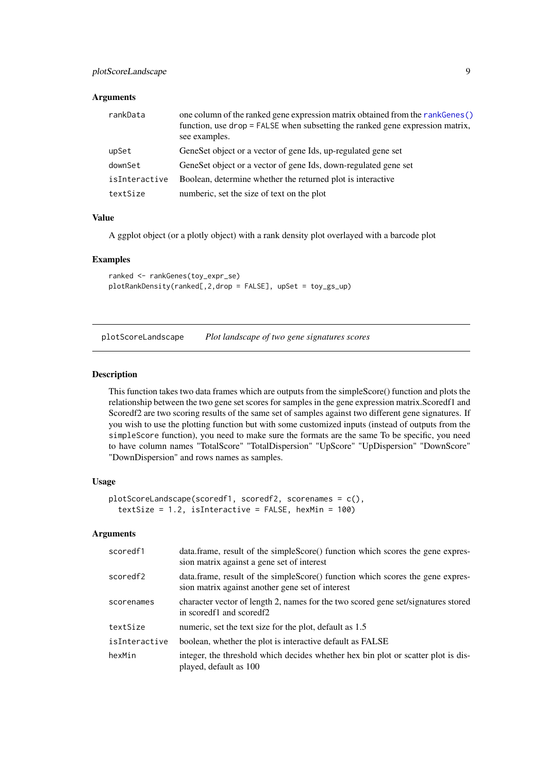# <span id="page-8-0"></span>Arguments

| rankData      | one column of the ranked gene expression matrix obtained from the rankGenes()<br>function, use drop = FALSE when subsetting the ranked gene expression matrix,<br>see examples. |
|---------------|---------------------------------------------------------------------------------------------------------------------------------------------------------------------------------|
| upSet         | GeneSet object or a vector of gene Ids, up-regulated gene set                                                                                                                   |
| downSet       | GeneSet object or a vector of gene Ids, down-regulated gene set                                                                                                                 |
| isInteractive | Boolean, determine whether the returned plot is interactive                                                                                                                     |
| textSize      | numberic, set the size of text on the plot                                                                                                                                      |

#### Value

A ggplot object (or a plotly object) with a rank density plot overlayed with a barcode plot

#### Examples

```
ranked <- rankGenes(toy_expr_se)
plotRankDensity(ranked[,2,drop = FALSE], upSet = toy_gs_up)
```
<span id="page-8-1"></span>plotScoreLandscape *Plot landscape of two gene signatures scores*

#### Description

This function takes two data frames which are outputs from the simpleScore() function and plots the relationship between the two gene set scores for samples in the gene expression matrix.Scoredf1 and Scoredf2 are two scoring results of the same set of samples against two different gene signatures. If you wish to use the plotting function but with some customized inputs (instead of outputs from the simpleScore function), you need to make sure the formats are the same To be specific, you need to have column names "TotalScore" "TotalDispersion" "UpScore" "UpDispersion" "DownScore" "DownDispersion" and rows names as samples.

# Usage

```
plotScoreLandscape(scoredf1, scoredf2, scorenames = c(),
  textSize = 1.2, isInteractive = FALSE, hexMin = 100)
```

| scoredf1      | data.frame, result of the simpleScore() function which scores the gene expres-<br>sion matrix against a gene set of interest       |
|---------------|------------------------------------------------------------------------------------------------------------------------------------|
| scoredf2      | data.frame, result of the simpleScore() function which scores the gene expres-<br>sion matrix against another gene set of interest |
| scorenames    | character vector of length 2, names for the two scored gene set/signatures stored<br>in scored f1 and scored f2                    |
| textSize      | numeric, set the text size for the plot, default as 1.5                                                                            |
| isInteractive | boolean, whether the plot is interactive default as FALSE                                                                          |
| hexMin        | integer, the threshold which decides whether hex bin plot or scatter plot is dis-<br>played, default as 100                        |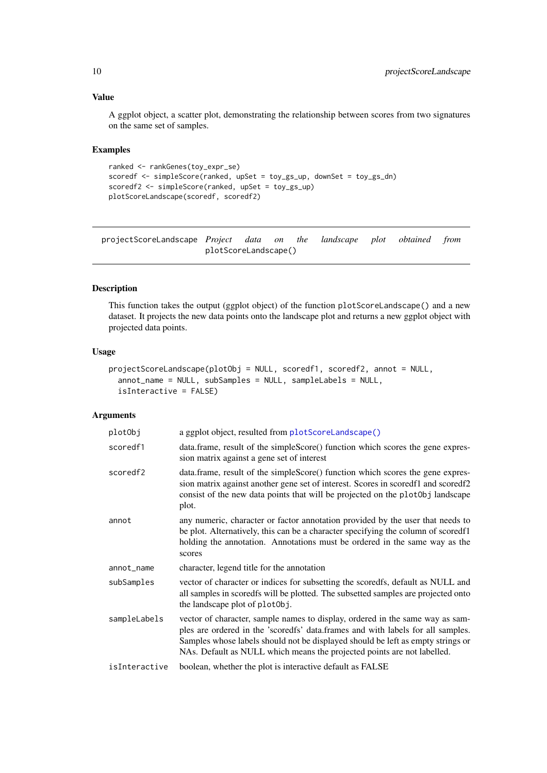# <span id="page-9-0"></span>Value

A ggplot object, a scatter plot, demonstrating the relationship between scores from two signatures on the same set of samples.

# Examples

```
ranked <- rankGenes(toy_expr_se)
scoredf <- simpleScore(ranked, upSet = toy_gs_up, downSet = toy_gs_dn)
scoredf2 <- simpleScore(ranked, upSet = toy_gs_up)
plotScoreLandscape(scoredf, scoredf2)
```
projectScoreLandscape *Project data on the landscape plot obtained from* plotScoreLandscape()

# Description

This function takes the output (ggplot object) of the function plotScoreLandscape() and a new dataset. It projects the new data points onto the landscape plot and returns a new ggplot object with projected data points.

# Usage

```
projectScoreLandscape(plotObj = NULL, scoredf1, scoredf2, annot = NULL,
 annot_name = NULL, subSamples = NULL, sampleLabels = NULL,
  isInteractive = FALSE)
```

| plotObj       | a ggplot object, resulted from plotScoreLandscape()                                                                                                                                                                                                                                                                            |
|---------------|--------------------------------------------------------------------------------------------------------------------------------------------------------------------------------------------------------------------------------------------------------------------------------------------------------------------------------|
| scoredf1      | data.frame, result of the simpleScore() function which scores the gene expres-<br>sion matrix against a gene set of interest                                                                                                                                                                                                   |
| scoredf2      | data.frame, result of the simpleScore() function which scores the gene expres-<br>sion matrix against another gene set of interest. Scores in scoredf1 and scoredf2<br>consist of the new data points that will be projected on the plot0bj landscape<br>plot.                                                                 |
| annot         | any numeric, character or factor annotation provided by the user that needs to<br>be plot. Alternatively, this can be a character specifying the column of scoredf1<br>holding the annotation. Annotations must be ordered in the same way as the<br>scores                                                                    |
| annot_name    | character, legend title for the annotation                                                                                                                                                                                                                                                                                     |
| subSamples    | vector of character or indices for subsetting the scoredfs, default as NULL and<br>all samples in scoredfs will be plotted. The subsetted samples are projected onto<br>the landscape plot of plot0bj.                                                                                                                         |
| sampleLabels  | vector of character, sample names to display, ordered in the same way as sam-<br>ples are ordered in the 'scoredfs' data.frames and with labels for all samples.<br>Samples whose labels should not be displayed should be left as empty strings or<br>NAs. Default as NULL which means the projected points are not labelled. |
| isInteractive | boolean, whether the plot is interactive default as FALSE                                                                                                                                                                                                                                                                      |
|               |                                                                                                                                                                                                                                                                                                                                |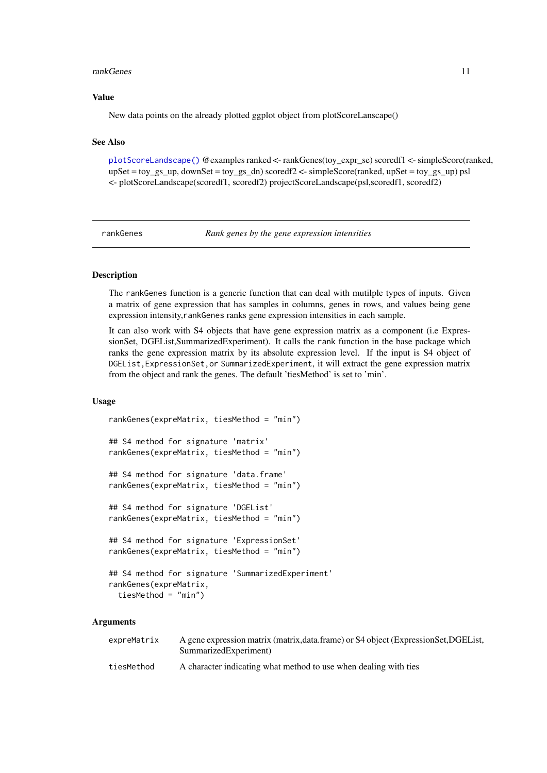#### <span id="page-10-0"></span>rankGenes 11

#### Value

New data points on the already plotted ggplot object from plotScoreLanscape()

# See Also

[plotScoreLandscape\(\)](#page-8-1) @examples ranked <- rankGenes(toy\_expr\_se) scoredf1 <- simpleScore(ranked,  $upSet = toy_gs_u, downSet = toy_gs_dn)$  scoredf2 <- simpleScore(ranked, upSet = toy\_gs\_up) psl <- plotScoreLandscape(scoredf1, scoredf2) projectScoreLandscape(psl,scoredf1, scoredf2)

<span id="page-10-1"></span>rankGenes *Rank genes by the gene expression intensities*

# Description

The rankGenes function is a generic function that can deal with mutilple types of inputs. Given a matrix of gene expression that has samples in columns, genes in rows, and values being gene expression intensity,rankGenes ranks gene expression intensities in each sample.

It can also work with S4 objects that have gene expression matrix as a component (i.e ExpressionSet, DGEList,SummarizedExperiment). It calls the rank function in the base package which ranks the gene expression matrix by its absolute expression level. If the input is S4 object of DGEList,ExpressionSet,or SummarizedExperiment, it will extract the gene expression matrix from the object and rank the genes. The default 'tiesMethod' is set to 'min'.

#### Usage

```
rankGenes(expreMatrix, tiesMethod = "min")
## S4 method for signature 'matrix'
rankGenes(expreMatrix, tiesMethod = "min")
## S4 method for signature 'data.frame'
rankGenes(expreMatrix, tiesMethod = "min")
## S4 method for signature 'DGEList'
rankGenes(expreMatrix, tiesMethod = "min")
## S4 method for signature 'ExpressionSet'
rankGenes(expreMatrix, tiesMethod = "min")
## S4 method for signature 'SummarizedExperiment'
rankGenes(expreMatrix,
  tiesMethod = "min")
```

| expreMatrix | A gene expression matrix (matrix, data.frame) or S4 object (ExpressionSet, DGEList,<br>SummarizedExperiment) |
|-------------|--------------------------------------------------------------------------------------------------------------|
| tiesMethod  | A character indicating what method to use when dealing with ties                                             |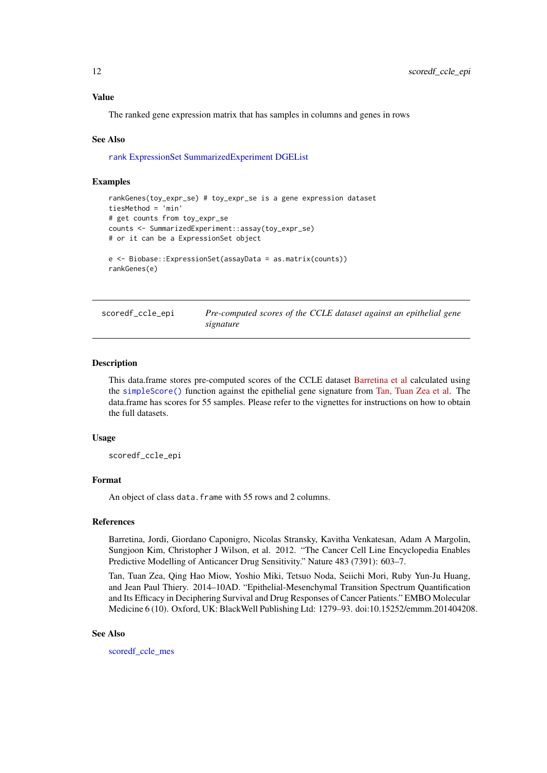#### Value

The ranked gene expression matrix that has samples in columns and genes in rows

#### See Also

[rank](#page-0-0) [ExpressionSet](#page-0-0) [SummarizedExperiment](#page-0-0) [DGEList](#page-0-0)

#### Examples

```
rankGenes(toy_expr_se) # toy_expr_se is a gene expression dataset
tiesMethod = 'min'
# get counts from toy_expr_se
counts <- SummarizedExperiment::assay(toy_expr_se)
# or it can be a ExpressionSet object
e <- Biobase::ExpressionSet(assayData = as.matrix(counts))
rankGenes(e)
```
<span id="page-11-1"></span>

scoredf\_ccle\_epi *Pre-computed scores of the CCLE dataset against an epithelial gene signature*

#### Description

This data.frame stores pre-computed scores of the CCLE dataset [Barretina et al](https://www.nature.com/articles/nature11003) calculated using the [simpleScore\(\)](#page-14-1) function against the epithelial gene signature from [Tan, Tuan Zea et al.](https://www.ncbi.nlm.nih.gov/pmc/articles/PMC4287932/) The data.frame has scores for 55 samples. Please refer to the vignettes for instructions on how to obtain the full datasets.

# Usage

scoredf\_ccle\_epi

# Format

An object of class data. frame with 55 rows and 2 columns.

#### References

Barretina, Jordi, Giordano Caponigro, Nicolas Stransky, Kavitha Venkatesan, Adam A Margolin, Sungjoon Kim, Christopher J Wilson, et al. 2012. "The Cancer Cell Line Encyclopedia Enables Predictive Modelling of Anticancer Drug Sensitivity." Nature 483 (7391): 603–7.

Tan, Tuan Zea, Qing Hao Miow, Yoshio Miki, Tetsuo Noda, Seiichi Mori, Ruby Yun-Ju Huang, and Jean Paul Thiery. 2014–10AD. "Epithelial-Mesenchymal Transition Spectrum Quantification and Its Efficacy in Deciphering Survival and Drug Responses of Cancer Patients." EMBO Molecular Medicine 6 (10). Oxford, UK: BlackWell Publishing Ltd: 1279–93. doi:10.15252/emmm.201404208.

#### See Also

scoredf ccle mes

<span id="page-11-0"></span>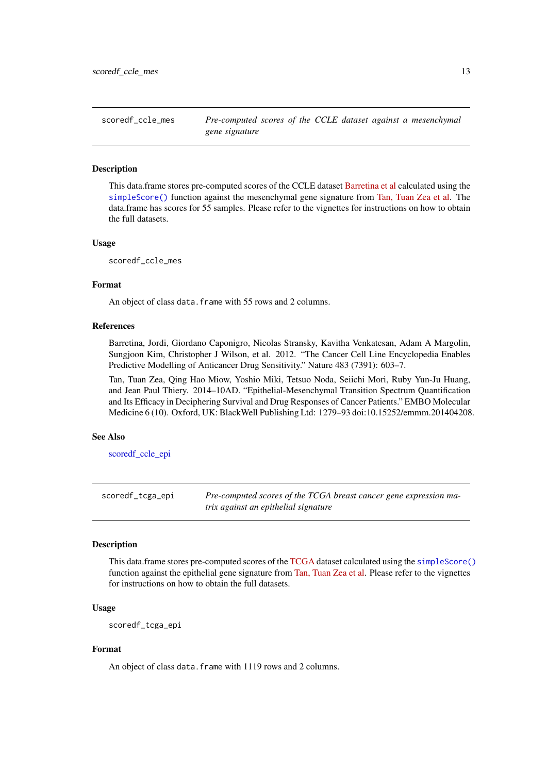<span id="page-12-1"></span><span id="page-12-0"></span>scoredf\_ccle\_mes *Pre-computed scores of the CCLE dataset against a mesenchymal gene signature*

#### Description

This data.frame stores pre-computed scores of the CCLE dataset [Barretina et al](https://www.nature.com/articles/nature11003) calculated using the [simpleScore\(\)](#page-14-1) function against the mesenchymal gene signature from [Tan, Tuan Zea et al.](https://www.ncbi.nlm.nih.gov/pmc/articles/PMC4287932/) The data.frame has scores for 55 samples. Please refer to the vignettes for instructions on how to obtain the full datasets.

# Usage

scoredf\_ccle\_mes

# Format

An object of class data.frame with 55 rows and 2 columns.

#### References

Barretina, Jordi, Giordano Caponigro, Nicolas Stransky, Kavitha Venkatesan, Adam A Margolin, Sungjoon Kim, Christopher J Wilson, et al. 2012. "The Cancer Cell Line Encyclopedia Enables Predictive Modelling of Anticancer Drug Sensitivity." Nature 483 (7391): 603–7.

Tan, Tuan Zea, Qing Hao Miow, Yoshio Miki, Tetsuo Noda, Seiichi Mori, Ruby Yun-Ju Huang, and Jean Paul Thiery. 2014–10AD. "Epithelial-Mesenchymal Transition Spectrum Quantification and Its Efficacy in Deciphering Survival and Drug Responses of Cancer Patients." EMBO Molecular Medicine 6 (10). Oxford, UK: BlackWell Publishing Ltd: 1279–93 doi:10.15252/emmm.201404208.

# See Also

[scoredf\\_ccle\\_epi](#page-11-1)

<span id="page-12-2"></span>scoredf\_tcga\_epi *Pre-computed scores of the TCGA breast cancer gene expression matrix against an epithelial signature*

#### Description

This data.frame stores pre-computed scores of the [TCGA](https://cancergenome.nih.gov) dataset calculated using the [simpleScore\(\)](#page-14-1) function against the epithelial gene signature from [Tan, Tuan Zea et al.](https://www.ncbi.nlm.nih.gov/pmc/articles/PMC4287932/) Please refer to the vignettes for instructions on how to obtain the full datasets.

# Usage

scoredf\_tcga\_epi

# Format

An object of class data. frame with 1119 rows and 2 columns.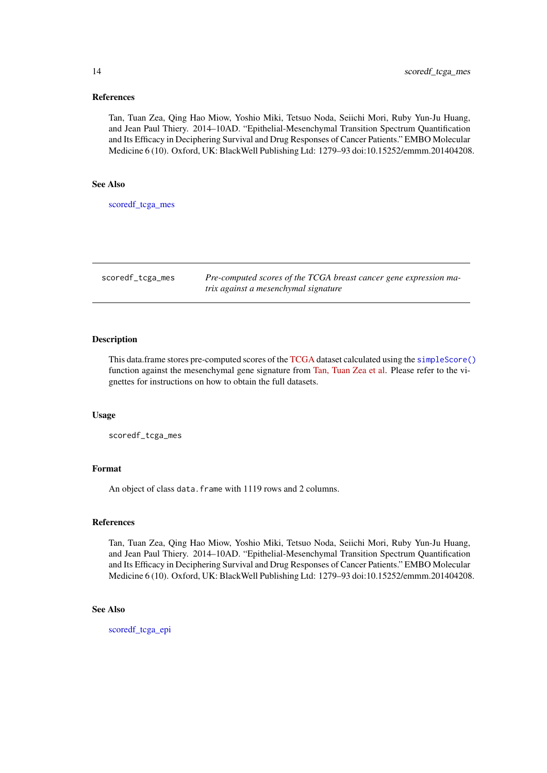## References

Tan, Tuan Zea, Qing Hao Miow, Yoshio Miki, Tetsuo Noda, Seiichi Mori, Ruby Yun-Ju Huang, and Jean Paul Thiery. 2014–10AD. "Epithelial-Mesenchymal Transition Spectrum Quantification and Its Efficacy in Deciphering Survival and Drug Responses of Cancer Patients." EMBO Molecular Medicine 6 (10). Oxford, UK: BlackWell Publishing Ltd: 1279–93 doi:10.15252/emmm.201404208.

#### See Also

[scoredf\\_tcga\\_mes](#page-13-1)

<span id="page-13-1"></span>scoredf\_tcga\_mes *Pre-computed scores of the TCGA breast cancer gene expression matrix against a mesenchymal signature*

# Description

This data.frame stores pre-computed scores of the [TCGA](https://cancergenome.nih.gov) dataset calculated using the [simpleScore\(\)](#page-14-1) function against the mesenchymal gene signature from [Tan, Tuan Zea et al.](https://www.ncbi.nlm.nih.gov/pmc/articles/PMC4287932/) Please refer to the vignettes for instructions on how to obtain the full datasets.

#### Usage

scoredf\_tcga\_mes

#### Format

An object of class data. frame with 1119 rows and 2 columns.

#### References

Tan, Tuan Zea, Qing Hao Miow, Yoshio Miki, Tetsuo Noda, Seiichi Mori, Ruby Yun-Ju Huang, and Jean Paul Thiery. 2014–10AD. "Epithelial-Mesenchymal Transition Spectrum Quantification and Its Efficacy in Deciphering Survival and Drug Responses of Cancer Patients." EMBO Molecular Medicine 6 (10). Oxford, UK: BlackWell Publishing Ltd: 1279–93 doi:10.15252/emmm.201404208.

# See Also

[scoredf\\_tcga\\_epi](#page-12-2)

<span id="page-13-0"></span>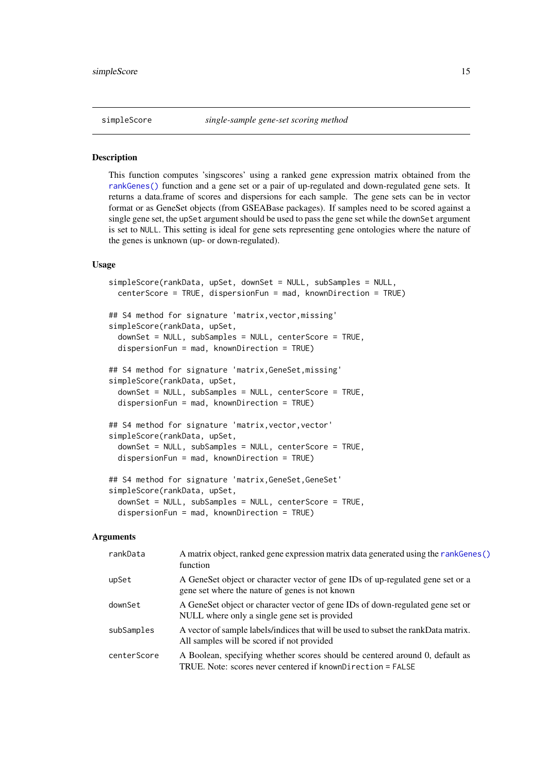<span id="page-14-1"></span><span id="page-14-0"></span>

# Description

This function computes 'singscores' using a ranked gene expression matrix obtained from the [rankGenes\(\)](#page-10-1) function and a gene set or a pair of up-regulated and down-regulated gene sets. It returns a data.frame of scores and dispersions for each sample. The gene sets can be in vector format or as GeneSet objects (from GSEABase packages). If samples need to be scored against a single gene set, the upSet argument should be used to pass the gene set while the downSet argument is set to NULL. This setting is ideal for gene sets representing gene ontologies where the nature of the genes is unknown (up- or down-regulated).

#### Usage

```
simpleScore(rankData, upSet, downSet = NULL, subSamples = NULL,
 centerScore = TRUE, dispersionFun = mad, knownDirection = TRUE)
## S4 method for signature 'matrix,vector,missing'
simpleScore(rankData, upSet,
 downSet = NULL, subSamples = NULL, centerScore = TRUE,
 dispersionFun = mad, knownDirection = TRUE)
## S4 method for signature 'matrix,GeneSet,missing'
simpleScore(rankData, upSet,
 downSet = NULL, subSamples = NULL, centerScore = TRUE,
 dispersionFun = mad, knownDirection = TRUE)
## S4 method for signature 'matrix, vector, vector'
simpleScore(rankData, upSet,
 downSet = NULL, subSamples = NULL, centerScore = TRUE,
 dispersionFun = mad, knownDirection = TRUE)
## S4 method for signature 'matrix,GeneSet,GeneSet'
simpleScore(rankData, upSet,
 downSet = NULL, subSamples = NULL, centerScore = TRUE,
  dispersionFun = mad, knownDirection = TRUE)
```

| rankData    | A matrix object, ranked gene expression matrix data generated using the rankGenes()<br>function                                             |
|-------------|---------------------------------------------------------------------------------------------------------------------------------------------|
| upSet       | A GeneSet object or character vector of gene IDs of up-regulated gene set or a<br>gene set where the nature of genes is not known           |
| downSet     | A GeneSet object or character vector of gene IDs of down-regulated gene set or<br>NULL where only a single gene set is provided             |
| subSamples  | A vector of sample labels/indices that will be used to subset the rankData matrix.<br>All samples will be scored if not provided            |
| centerScore | A Boolean, specifying whether scores should be centered around 0, default as<br>TRUE. Note: scores never centered if knownDirection = FALSE |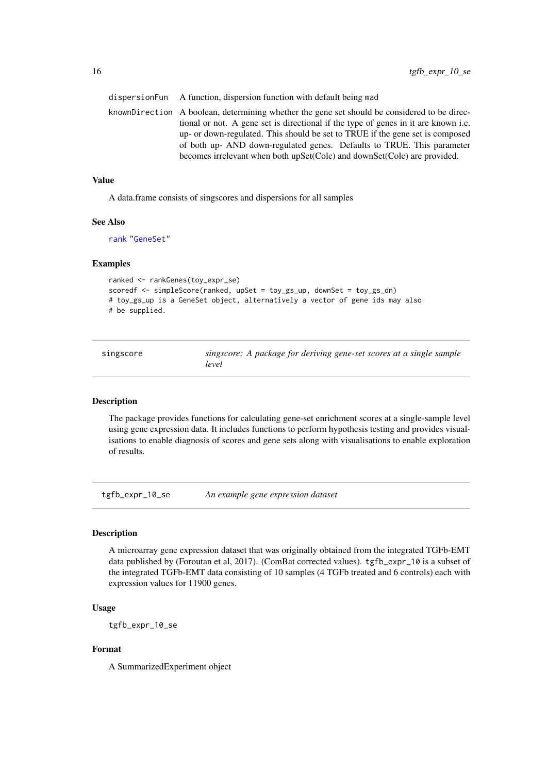| dispersion Fun A function, dispersion function with default being mad                        |  |
|----------------------------------------------------------------------------------------------|--|
| knownDirection A boolean, determining whether the gene set should be considered to be direc- |  |
| tional or not. A gene set is directional if the type of genes in it are known i.e.           |  |
| up- or down-regulated. This should be set to TRUE if the gene set is composed                |  |
| of both up- AND down-regulated genes. Defaults to TRUE. This parameter                       |  |
| becomes irrelevant when both upSet(Colc) and downSet(Colc) are provided.                     |  |
|                                                                                              |  |

# Value

A data.frame consists of singscores and dispersions for all samples

#### See Also

[rank](#page-0-0) ["GeneSet"](#page-0-0)

#### Examples

```
ranked <- rankGenes(toy_expr_se)
scoredf <- simpleScore(ranked, upSet = toy_gs_up, downSet = toy_gs_dn)
# toy_gs_up is a GeneSet object, alternatively a vector of gene ids may also
# be supplied.
```

| singscore | singscore: A package for deriving gene-set scores at a single sample |
|-----------|----------------------------------------------------------------------|
|           | level                                                                |

# Description

The package provides functions for calculating gene-set enrichment scores at a single-sample level using gene expression data. It includes functions to perform hypothesis testing and provides visualisations to enable diagnosis of scores and gene sets along with visualisations to enable exploration of results.

tgfb\_expr\_10\_se *An example gene expression dataset*

#### Description

A microarray gene expression dataset that was originally obtained from the integrated TGFb-EMT data published by (Foroutan et al, 2017). (ComBat corrected values). tgfb\_expr\_10 is a subset of the integrated TGFb-EMT data consisting of 10 samples (4 TGFb treated and 6 controls) each with expression values for 11900 genes.

# Usage

tgfb\_expr\_10\_se

# Format

A SummarizedExperiment object

<span id="page-15-0"></span>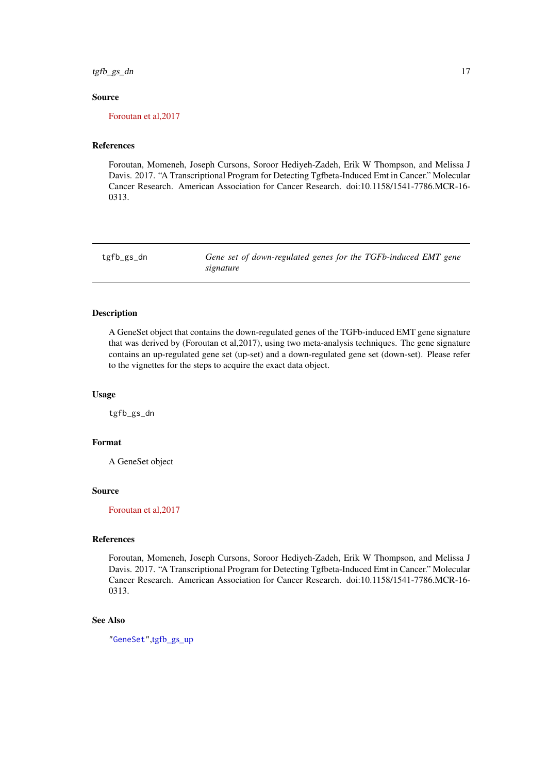<span id="page-16-0"></span>tgfb\_gs\_dn 17

#### Source

[Foroutan et al,2017](http://mcr.aacrjournals.org/content/early/2017/01/21/1541-7786.MCR-16-0313)

# References

Foroutan, Momeneh, Joseph Cursons, Soroor Hediyeh-Zadeh, Erik W Thompson, and Melissa J Davis. 2017. "A Transcriptional Program for Detecting Tgfbeta-Induced Emt in Cancer." Molecular Cancer Research. American Association for Cancer Research. doi:10.1158/1541-7786.MCR-16- 0313.

<span id="page-16-1"></span>

tgfb\_gs\_dn *Gene set of down-regulated genes for the TGFb-induced EMT gene signature*

# Description

A GeneSet object that contains the down-regulated genes of the TGFb-induced EMT gene signature that was derived by (Foroutan et al,2017), using two meta-analysis techniques. The gene signature contains an up-regulated gene set (up-set) and a down-regulated gene set (down-set). Please refer to the vignettes for the steps to acquire the exact data object.

#### Usage

tgfb\_gs\_dn

#### Format

A GeneSet object

#### Source

[Foroutan et al,2017](http://mcr.aacrjournals.org/content/early/2017/01/21/1541-7786.MCR-16-0313)

# References

Foroutan, Momeneh, Joseph Cursons, Soroor Hediyeh-Zadeh, Erik W Thompson, and Melissa J Davis. 2017. "A Transcriptional Program for Detecting Tgfbeta-Induced Emt in Cancer." Molecular Cancer Research. American Association for Cancer Research. doi:10.1158/1541-7786.MCR-16- 0313.

# See Also

["GeneSet"](#page-0-0)[,tgfb\\_gs\\_up](#page-17-1)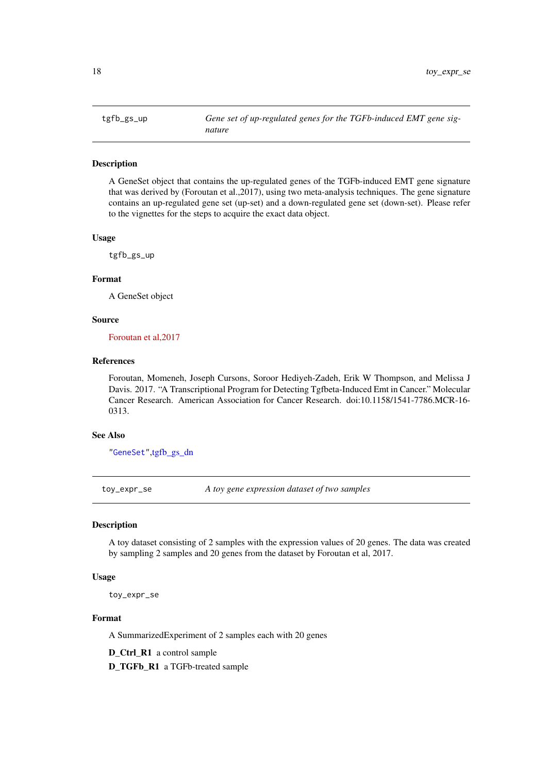#### <span id="page-17-1"></span><span id="page-17-0"></span>Description

A GeneSet object that contains the up-regulated genes of the TGFb-induced EMT gene signature that was derived by (Foroutan et al.,2017), using two meta-analysis techniques. The gene signature contains an up-regulated gene set (up-set) and a down-regulated gene set (down-set). Please refer to the vignettes for the steps to acquire the exact data object.

# Usage

tgfb\_gs\_up

# Format

A GeneSet object

# Source

[Foroutan et al,2017](http://mcr.aacrjournals.org/content/early/2017/01/21/1541-7786.MCR-16-0313)

# References

Foroutan, Momeneh, Joseph Cursons, Soroor Hediyeh-Zadeh, Erik W Thompson, and Melissa J Davis. 2017. "A Transcriptional Program for Detecting Tgfbeta-Induced Emt in Cancer." Molecular Cancer Research. American Association for Cancer Research. doi:10.1158/1541-7786.MCR-16- 0313.

#### See Also

["GeneSet"](#page-0-0)[,tgfb\\_gs\\_dn](#page-16-1)

<span id="page-17-2"></span>toy\_expr\_se *A toy gene expression dataset of two samples*

#### Description

A toy dataset consisting of 2 samples with the expression values of 20 genes. The data was created by sampling 2 samples and 20 genes from the dataset by Foroutan et al, 2017.

# Usage

toy\_expr\_se

# Format

A SummarizedExperiment of 2 samples each with 20 genes

D\_Ctrl\_R1 a control sample

D\_TGFb\_R1 a TGFb-treated sample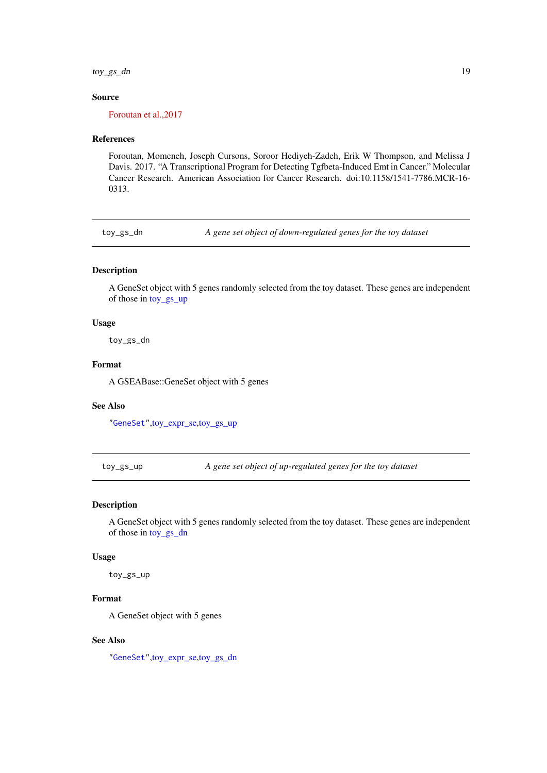<span id="page-18-0"></span>toy\_gs\_dn 19

# Source

[Foroutan et al.,2017](http://mcr.aacrjournals.org/content/early/2017/01/21/1541-7786.MCR-16-0313)

# References

Foroutan, Momeneh, Joseph Cursons, Soroor Hediyeh-Zadeh, Erik W Thompson, and Melissa J Davis. 2017. "A Transcriptional Program for Detecting Tgfbeta-Induced Emt in Cancer." Molecular Cancer Research. American Association for Cancer Research. doi:10.1158/1541-7786.MCR-16- 0313.

<span id="page-18-2"></span>toy\_gs\_dn *A gene set object of down-regulated genes for the toy dataset*

#### Description

A GeneSet object with 5 genes randomly selected from the toy dataset. These genes are independent of those in [toy\\_gs\\_up](#page-18-1)

#### Usage

toy\_gs\_dn

#### Format

A GSEABase::GeneSet object with 5 genes

#### See Also

["GeneSet"](#page-0-0)[,toy\\_expr\\_se,](#page-17-2)[toy\\_gs\\_up](#page-18-1)

<span id="page-18-1"></span>toy\_gs\_up *A gene set object of up-regulated genes for the toy dataset*

#### Description

A GeneSet object with 5 genes randomly selected from the toy dataset. These genes are independent of those in [toy\\_gs\\_dn](#page-18-2)

# Usage

toy\_gs\_up

# Format

A GeneSet object with 5 genes

# See Also

["GeneSet"](#page-0-0)[,toy\\_expr\\_se,](#page-17-2)[toy\\_gs\\_dn](#page-18-2)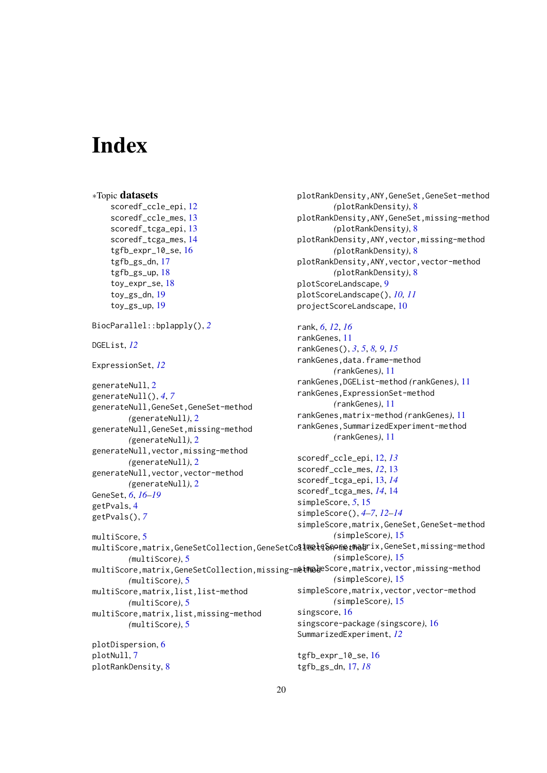# <span id="page-19-0"></span>Index

```
∗Topic datasets
    scoredf_ccle_epi, 12
    scoredf_ccle_mes, 13
    scoredf_tcga_epi, 13
    14
    tgfb_expr_10_se, 16
    tgfb_gs_dn, 17
    tgfb_gs_up, 18
    toy_expr_se, 18
    toy_gs_dn, 19
    toy_gs_up, 19
BiocParallel::bplapply(), 2
DGEList, 12
ExpressionSet, 12
generateNull, 2
generateNull(), 4, 7
generateNull,GeneSet,GeneSet-method
        (generateNull), 2
generateNull,GeneSet,missing-method
        (generateNull), 2
generateNull,vector,missing-method
        (generateNull), 2
generateNull,vector,vector-method
        (generateNull), 2
GeneSet, 6, 16–19
getPvals, 4
getPvals(), 7
multiScore, 5
multiScore,matrix,GeneSetCollection,GeneSetCo$1@@łqS60methodrix,GeneSet,missing-method
        (multiScore), 5
multiScore,matrix,GeneSetCollection,missing-meiMpleScore,matrix,vector,missing-method
        (multiScore), 5
multiScore,matrix,list,list-method
        (multiScore), 5
multiScore,matrix,list,missing-method
        (multiScore), 5
plotDispersion, 6
plotNull, 7
plotRankDensity, 8
                                               rank, 6, 12, 16
                                               rankGenes, 11
                                               scoredf_ccle_epi, 12, 13
                                               scoredf_ccle_mes, 12, 13
                                               scoredf_tcga_epi, 13, 14
                                               scoredf_tcga_mes, 14, 14
                                               simpleScore, 5, 15
                                               simpleScore(), 4–7, 12–14
                                               simpleScore,matrix,GeneSet,GeneSet-method
                                                        (simpleScore), 15
                                                        (simpleScore), 15
                                                        (simpleScore), 15
                                               simpleScore,matrix,vector,vector-method
                                                        (simpleScore), 15
                                               singscore, 16
                                               tgfb_expr_10_se, 16
```

```
plotRankDensity,ANY,GeneSet,GeneSet-method
        (plotRankDensity), 8
plotRankDensity,ANY,GeneSet,missing-method
        (plotRankDensity), 8
plotRankDensity,ANY,vector,missing-method
        (plotRankDensity), 8
plotRankDensity,ANY,vector,vector-method
        (plotRankDensity), 8
plotScoreLandscape, 9
plotScoreLandscape(), 10, 11
projectScoreLandscape, 10
```

```
rankGenes(), 3, 5, 8, 9, 15
rankGenes,data.frame-method
        (rankGenes), 11
rankGenes,DGEList-method (rankGenes), 11
rankGenes,ExpressionSet-method
        (rankGenes), 11
rankGenes,matrix-method (rankGenes), 11
rankGenes,SummarizedExperiment-method
        (rankGenes), 11
```

```
20
```

```
singscore-package (singscore), 16
SummarizedExperiment, 12
```

```
tgfb_gs_dn, 17, 18
```